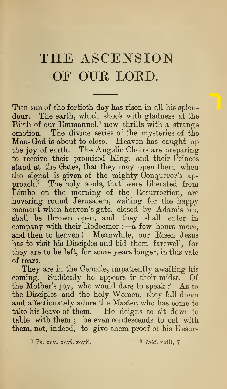## THE ASCENSION OF OUK LORD.

THE sun of the fortieth day has risen in all his splendour. The earth, which shook with gladness at the Birth of our Emmanuel,<sup>1</sup> now thrills with a strange emotion. The divine series of the mysteries of the Man- God is about to close. Heaven has caught up the joy of earth. The Angelic Choirs are preparing to receive their promised King, and their Princes stand at the Gates, that they may open them when the signal is given of the mighty Conqueror's approach.<sup>2</sup> The holy souls, that were liberated from Limbo on the morning of the Besurrection, are .hovering round Jerusalem, waiting for the happy moment when heaven's gate, closed by Adam's sin, shall be thrown open, and they shall enter in company with their Redeemer :- a few hours more, and then to heaven ! Meanwhile, our Risen Jesus has to visit his Disciples and bid them farewell, for they are to be left, for some years longer, in this vale of tears.

They are in the Cenacle, impatiently awaiting his coming. Suddenly he appears in their midst. Of the Mother's joy, who would dare to speak ? As to the Disciples and the holy Women, they fall down and affectionately adore the Master, who has come to take his leave of them. He deigns to sit down to table with them ; he even condescends to eat with them, not, indeed, to give them proof of his Resur-

 $\frac{1}{1}$  Ps. xcv. xcvi. xcvii.  $\frac{2}{1}$  Ibid, xxiii. 7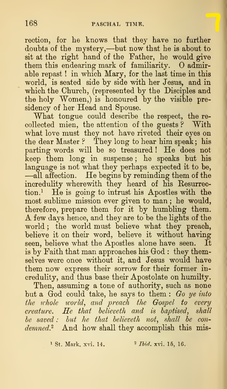rection, for he knows that they have no further doubts of the mystery,—but now that he is about to sit at the right hand of the Father, he would give them this endearing mark of familiarity. O admirable repast ! in which Mary, for the last time in this world, is seated side by side with her Jesus, and in which the Church, (represented by the Disciples and the holy  $Women$ , is honoured by the visible presidency of her Head and Spouse.

What tongue could describe the respect, the re collected mien, the attention of the guests ? With what love must they not have riveted their eyes on the dear Master ? They long to hear him speak ; his parting words will be so treasured ! He does not keep them long in suspense; he speaks but his language is not what they perhaps expected it to be, dag is the increase in the begins by reminding them of the incredulity wherewith they heard of his Resurrection.^ He is going to intrust his Apostles with the most sublime mission ever given to man ; he would, therefore, prepare them for it by humbling them. A few days hence, and they are to be the lights of the world; the world must believe what they preach, believe it on their word, believe it without having seen, believe what the Apostles alone have seen. It is by Faith that man approaches his God : they themselves were once without it, and Jesus would have them now express their sorrow for their former incredulity, and thus base their Apostolate on humilty.

Then, assuming a tone of authority, such as none but a God could take, he says to them : Go ye into the whole world, and preach the Gospel to every  $create.$  He that believeth and is baptised, shall  $be$  saved : but he that believeth not, shall be condemned.<sup>2</sup> And how shall they accomplish this mis-

<sup>1</sup> St. Mark. xvi. 14.  $^2$  *Ibid.* xvi. 15, 16.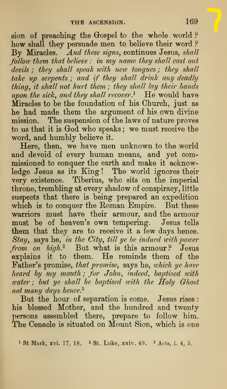$\mathop{\mathrm{span}}\nolimits$  of preaching the Gospel to the whole world ? how shall they persuade men to believe their word ? By Miracles. And these signs, continues Jesus, shall follow them that believe : in my name they shall cast out devils ; they shall speak with new tongues ; they shall take up serpents ; and if they shall drink any deadly thing, it shall not hurt them ; they shall lay their hands upon the sick, and they shall recover.<sup>1</sup> He would have Miracles to be the foundation of his Church, just as Miracles to be the foundation of his Church, just as he had made them the argument of his own divine mission. The suspension of the laws of nature proves to us that it is God who speaks; we must receive the word, and humbly believe it.

Here, then, we have men unknown to the world and devoid of every human means, and yet commissioned to conquer the earth and make it acknowledge Jesus as its King ! The world ignores their very existence. Tiberius, who sits on the imperial throne, trembling at every shadow of conspiracy, little suspects that there is being prepared an expedition which is to conquer the Roman Empire. But these warriors must have their armour, and the armour must be of heaven's own tempering. Jesus tells them that they are to receive it a few days hence. Stay, says he, in the City, till ye be indued with power from on  $high$ <sup>2</sup> But what is this armour? Jesus explains it to them. He reminds them of the Father's promise, that promise, says he, which ye have heard by my mouth; for John^ indeed, baptised tvith water; but ye shall be baptised with the Holy Ohost water; but ye shall be baptised with the Holy Ghost<br>not many days hence.<sup>3</sup>

But the hour of separation is come. Jesus rises : his blessed Mother, and the hundred and twenty persons assembled there, prepare to follow him. The Cenacle is situated on Mount Sion, which is one

<sup>1</sup> St Mark, xvi. 17, 18. <sup>2</sup> St. Luke, xxiv. 49. <sup>3</sup> Acts, i. 4, 5,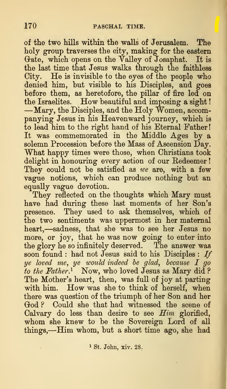of the two hills within the walls of Jerusalem. The holy group traverses the city, making for the eastern Gate, which opens on the Valley of Josaphat. It is the last time that Jesus walks through the faithless City. He is invisible to the eyes of the people who denied him, but visible to his Disciples, and goes before them, as heretofore, the pillar of fire led on the Israelites. How beautiful and imposing <sup>a</sup> sight de Islaenes. The Beauding and Imposing a signo: panying Jesus in his Heavenward journey, which is to lead him to the right hand of his Eternal Father! It was commemorated in the Middle Ages by a solemn Procession before the Mass of Ascension Day. What happy times were those, when Christians took delight in honouring every action of our Redeemer They could not be satisfied as  $we$  are, with a few vague notions, which can produce nothing but an equally vague devotion.

They reflected on the thoughts which Mary must have had during these last moments of her Son's presence. They used to ask themselves, which of the two sentiments was uppermost in her maternal heart,—sadness, that she was to see her Jesus no more, or joy, that he was now going to enter into the glory he so infinitely deserved. The answer was soon found : had not Jesus said to his Disciples : If ye loved me, ye would indeed he glad, because I go to the Father.<sup>1</sup> Now, who loved Jesus as Mary did? The Mother's heart, then, was full of joy at parting with him. How was she to think of herself, when there was question of the triumph of her Son and her God ? Could she that had witnessed the scene of Calvary do less than desire to see Him glorified, whom she knew to be the Sovereign Lord of all things,—Him whom, but <sup>a</sup> short time ago, she had

<sup>1</sup> St. John, xiv. 28.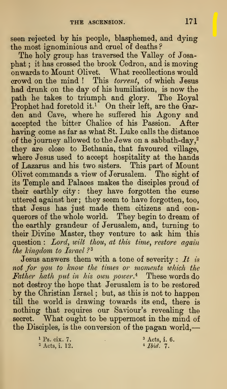seen rejected by his people, blasphemed, and dying the most ignominious and cruel of deaths ?

The holy group has traversed the Valley of Josaphat ; it has crossed the brook Cedron, and is moving onwards to Mount Olivet. What recollections would crowd on the mind ! This torrent, of which Jesus had drunk on the day of his humiliation, is now the path he takes to triumph and glory. The Royal Prophet had foretold it.<sup>1</sup> On their left, are the Garden and Cave, where he suffered his Agony and accepted the bitter Chalice of his Passion. After having come as far as what St. Luke calls the distance of the journey allowed to the Jews on a sabbath-day,<sup>2</sup> they are close to Bethania, that favoured village, where Jesus used to accept hospitality at the hands of Lazarus and his two sisters. This part of Mount Olivet commands a view of Jerusalem. The sight of its Temple and Palaces makes the disciples proud of their earthly city: they have forgotten the curse uttered against her; they seem to have forgotten, too, that Jesus has just made them citizens and con querors of the whole world. They begin to dream of the earthly grandeur of Jerusalem, and, turning to their Divine Master, they venture to ask him this question : Lord, wilt thou, at this time, restore again the kingdom to Israel?<sup>3</sup>

Jesus answers them with a tone of severity :  $It$  is not for you to know the times or moments which the Father hath put in his own power. $4$  These words do not destroy the hope that Jerusalem is to be restored by the Christian Israel ; but, as this is not to happen till the world is drawing towards its end, there is nothing that requires our Saviour's revealing the secret. What ought to be uppermost in the mind of the Disciples, is the conversion of the pagan world,

> <sup>1</sup> Ps. cix. 7.  $3 \text{ Acts, i. } 6.$ <br>
> <sup>2</sup> Acts, i. 12.  $4 \text{ Ibid. } 7.$ <sup>2</sup> Acts, i. 12.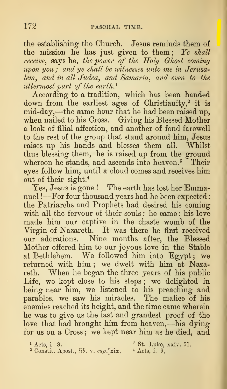the establishing the Church. Jesus reminds them of the mission he has just given to them; Ye shall receive, says he, the power of the Holy Ghost coming upon you ; and ye shall he witnesses unto me in Jerusalem, and in all Judea, and Samaria, and even to the uttermost part of the earth. $<sup>1</sup>$ </sup>

According to a tradition, which has been handed down from the earliest ages of Christianity,<sup>2</sup> it is mid-day,—the same hour that he had been raised up, when nailed to his Cross. Giving his Blessed Mother a look of filial affection, and another of fond farewell to the rest of the group that stand around him, Jesus raises up his hands and blesses them all. Whilst thus blessing them, he is raised up from the ground whereon he stands, and ascends into heaven.<sup>3</sup> Their eyes follow him, until a cloud comes and receives him out of their sight.<sup>4</sup>

Yes, Jesus is gone ! The earth has lost her Emmanuel !- For four thousand years had he been expected: the Patriarchs and Prophets had desired his coming with all the fervour of their souls: he came: his love made him our captive in the chaste womb of the Yirgin of Nazareth. It was there he first received our adorations. Nine months after, the Blessed Mother offered him to our joyous love in the Stable at Bethlehem. We followed him into Egypt ; we returned with him; we dwelt with him at Nazareth. When he began the three years of his public Life, we kept close to his steps ; we delighted in being near him, we listened to his preaching and parables, we saw his miracles. The malice of his enemies reached its height, and the time came wherein he was to give us the last and grandest proof of the love that had brought him from heaven,—his dying for us on a Cross; we kept near him as he died, and

<sup>1</sup> Acts, i. 8.  $^{3}$  St. Luke, xxiv. 51.<br><sup>2</sup> Constit. Apost., *lib.* v. cap. xix.  $^{4}$  Acts, i. 9.  $^2$  Constit. Apost., lib. v. cap. xix.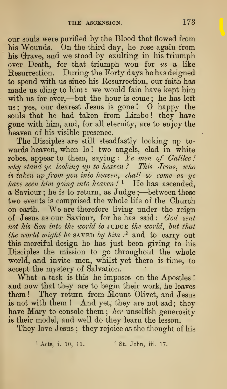our souls were purified by the Blood that flowed from his Wounds. On the third day, he rose again from his Grrave, and we stood by exulting in his triumph over Death, for that triumph won for  $us$  a like Resurrection. During the Forty days he has deigned to spend with us since his Resurrection, our faith has made us cling to him : we would fain have kept him with us for ever,—but the hour is come ; he has left us; yes, our dearest Jesus is gone!  $\sigma$  happy the souls that he had taken from Limbo ! they have gone with him, and, for all eternity, are to enjoy the heaven of his visible presence.

The Disciples are still steadfastly looking up towards heaven, when lo! two angels, clad in white robes, appear to them, saying: Ye men of Galilee! why stand ye looking up to heaven ? This Jesus, who is taken up fro7n you into heaven, shall so come as ye have seen him going into heaven !  $^1$  He has ascended, a Saviour ; he is to return, as Judge ;—between these two events is comprised the whole life of the Church on earth. We are therefore living under the reign of Jesus as our Saviour, for he has said: God sent not his Son into the world to JUDGE the world, but that the world might be saved by him  $\mathbb{R}^2$  and to carry out this merciful design he has just been giving to his Disciples the mission to go throughout the whole world, and invite men, whilst yet there is time, to accept the mystery of Salvation.

What a task is this he imposes on the Apostles ! and now that they are to begin their work, he leaves them ! They return from Mount Olivet, and Jesus is not with them ! And yet, they are not sad; they have Mary to console them ; her unselfish generosity is their model, and well do they learn the lesson.

They love Jesus ; they rejoice at the thought of his

<sup>1</sup> Acts, i. 10, 11. <sup>2</sup> St. John, iii. 17.